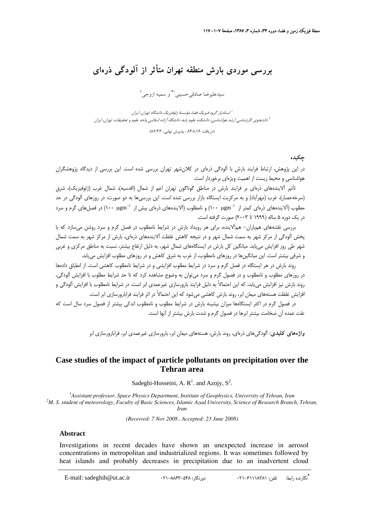# **بررسي موردي بارش منطقه تهران متأثر از آلودگي ذرهاي**

سيدعليرضا صادقي<سيني<sup>\\*</sup> و سميه ازوجي<sup>٢</sup>

استاديار گروه فيزيك فضا، مؤسسة ژئوفيزيك دانشگاه تهران، ايران <sup>1</sup> دانشجوي كارشناسي ارشد هواشناسي، دانشكده علوم پايه، دانشگاه آزاده اسلامي واحد علوم <sup>و</sup> تحقيقات، تهران، ايران <sup>2</sup>

(87/4/ (دريافت: 84/8/16 ، پذيرش نهايي: 3

### **چكيده**

در اين پژوهش، ارتباط فرايند بارش با آلودگي ذرهاي در كلانشهر تهران بررسي شده است. اين بررسي از ديدگاه پژوهشگران هواشناسي و محيط زيست از اهميت ويژهاي برخوردار است.

تأثير آلايندههاي ذرهاي بر فرايند بارش در مناطق گوناگون تهران اعم از شمال (اقدسيه)، شمال غرب (ژئوفيزيك)، شرق (سرخهحصار)، غرب (مهرآباد) و به مركزيت ايستگاه بازار بررسي شده است. اين بررسيها به دو صورت: در روزهاي آلودگي در حد مطلوب (آلايندههاي ذرهاي كمتر از −γμgm) و نامطلوب (آلايندههاي ذرهاي بيش از −r μgm 3) در فصلهاي گرم و سرد در يك دوره 5 ساله (1999 تا 2003) صورت گرفته است.

بررسي نقشههاي همباران- همآلاينده، براي هر رويداد بارش در شرايط نامطلوب در فصل گرم و سرد روشن ميسازد كه با پخش آلودگي از مركز شهر به سمت شمال شهر و در نتيجه كاهش غلظت آلايندههاي ذرهاي، بارش از مركز شهر به سمت شمال شهر طي روز افزايش مييابد. ميانگين كل بارش در ايستگاههاي شمال شهر، به دليل ارتفاع بيشتر، نسبت به مناطق مركزي و غربي و شرقي بيشتر است. اين ميانگينها در روزهاي نامطلوب، از غرب به شرق كاهش و در روزهاي مطلوب افزايش مييابد.

روند بارش در هر ايستگاه در فصل گرم و سرد در شرايط مطلوب افزايشي و در شرايط نامطلوب كاهشي است. از انطباق دادهها در روزهاي مطلوب و نامطلوب و در فصول گرم و سرد ميتوان به وضوح مشاهده كرد كه تا حد شرايط مطلوب با افزايش آلودگي، روند بارش نيز افزايش مييابد، كه اين احتمالاً به دليل فرايند بارورسازي غيرعمدي ابر است. در شرايط نامطلوب با افزايش آلودگي و افزايش غلظت هستههاي ميعان ابر، روند بارش كاهشي ميشود كه اين احتمالاً در اثر فرايند فرابارورسازي ابر است.

در فصول گرم در اكثر ايستگاهها ميزان بيشينه بارش در شرايط مطلوب و نامطلوب اندكي بيشتر از فصول سرد سال است كه علت عمده آن ضخامت بيشتر ابرها در فصول گرم و شدت بارش بيشتر از آنها است.

**واژههاي كليدي:** آلودگيهاي ذرهاي، روند بارش، هستههاي ميعان ابر، بارورسازي غيرعمدي ابر، فرابارورسازي ابر

### **Case studies of the impact of particle pollutants on precipitation over the Tehran area**

Sadeghi-Hosseini, A.  $R^1$ . and Azojy,  $S^2$ .

<sup>1</sup> *Assistant professor, Space Physics Department, Institute of Geophysics, University of Tehran, Iran <sup>2</sup>M, S. student of mateorology, Equally of Pasis Sciences, Islamic Azed University, Science of Passaggeh Pranel* <sup>2</sup>M. S. student of meteorology, Faculty of Basic Sciences, Islamic Azad University, Science of Research Branch, Tehran, *Iran* 

*(Received: 7 Nov 2008 , Accepted: 23 June 2008)* 

#### **Abstract**

Investigations in recent decades have shown an unexpected increase in aerosol concentrations in metropolitan and industrialized regions. It was sometimes followed by heat islands and probably decreases in precipitation due to an inadvertent cloud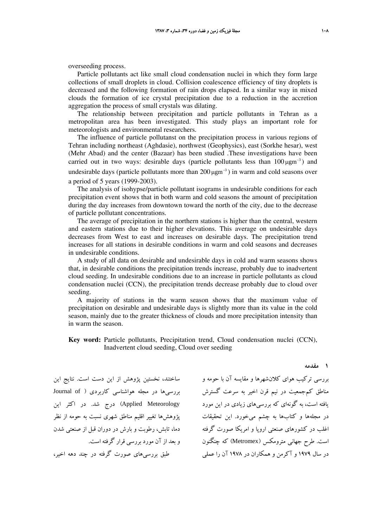Particle pollutants act like small cloud condensation nuclei in which they form large collections of small droplets in cloud. Collision coalescence efficiency of tiny droplets is decreased and the following formation of rain drops elapsed. In a similar way in mixed clouds the formation of ice crystal precipitation due to a reduction in the accretion aggregation the process of small crystals was dilating.

The relationship between precipitation and particle pollutants in Tehran as a metropolitan area has been investigated. This study plays an important role for meteorologists and environmental researchers.

The influence of particle pollutanst on the precipitation process in various regions of Tehran including northeast (Aghdasie), northwest (Geophysics), east (Sorkhe hesar), west (Mehr Abad) and the center (Bazaar) has been studied .These investigations have been carried out in two ways: desirable days (particle pollutants less than  $100 \mu \text{gm}^{-3}$ ) and undesirable days (particle pollutants more than  $200 \,\mu\text{g} \text{m}^{-3}$ ) in warm and cold seasons over a period of 5 years (1999-2003).

The analysis of isohypse/particle pollutant isograms in undesirable conditions for each precipitation event shows that in both warm and cold seasons the amount of precipitation during the day increases from downtown toward the north of the city, due to the decrease of particle pollutant concentrations.

The average of precipitation in the northern stations is higher than the central, western and eastern stations due to their higher elevations. This average on undesirable days decreases from West to east and increases on desirable days. The precipitation trend increases for all stations in desirable conditions in warm and cold seasons and decreases in undesirable conditions.

A study of all data on desirable and undesirable days in cold and warm seasons shows that, in desirable conditions the precipitation trends increase, probably due to inadvertent cloud seeding. In undesirable conditions due to an increase in particle pollutants as cloud condensation nuclei (CCN), the precipitation trends decrease probably due to cloud over seeding.

A majority of stations in the warm season shows that the maximum value of precipitation on desirable and undesirable days is slightly more than its value in the cold season, mainly due to the greater thickness of clouds and more precipitation intensity than in warm the season.

**Key word:** Particle pollutants, Precipitation trend, Cloud condensation nuclei (CCN), Inadvertent cloud seeding, Cloud over seeding

ساختند، نخستين پژوهش از اين دست است. نتايج اين بررسي ها در مجله هواشناسي كاربردي ( Journal of Meteorology Applied (درج شد. در اكثر اين پژوهشها تغيير اقليم مناطق شهري نسبت به حومه از نظر دما، تابش، رطوبت و بارش در دوران قبل از صنعتي شدن و بعد از آن مورد بررسي قرار گرفته است. طبق بررسيهاي صورت گرفته در چند دهه اخير،

بررسي تركيب هواي كلانشهرها و مقايسه آن با حومه و مناطق كمجمعيت در نيم قرن اخير به سرعت گسترش يافته است، به گونهاي كه بررسيهاي زيادي در اين مورد در مجلهها و كتابها به چشم ميخورد. اين تحقيقات اغلب در كشورهاي صنعتي اروپا و امريكا صورت گرفته است. طرح جهاني مترومكس (Metromex (كه چنگنون در سال 1979 و آكرمن و همكاران در 1978 آن را عملي

**1 مقدمه**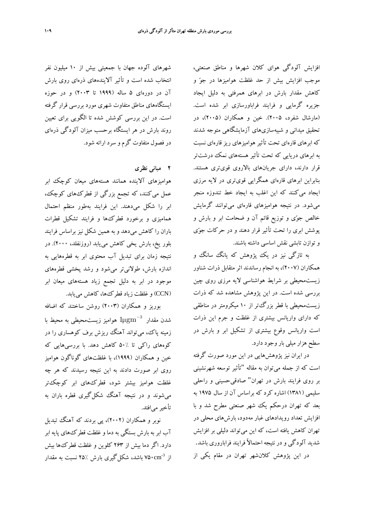افزايش آلودگي هواي كلان شهرها و مناطق صنعتي، موجب افزايش بيش از حد غلظت هواميزها در جو و كاهش مقدار بارش در ابرهاي همرفتي به دليل ايجاد جزيره گرمايي و فرايند فراباورسازي ابر شده است. (مارشال شفرد، 2005). خين و همكاران (2005)، در تحقيق ميداني و شبيهسازيهاي آزمايشگاهي متوجه شدند كه ابرهاي قارهاي تحت تأثير هواميزهاي ريز قارهاي نسبت به ابرهاي دريايي كه تحت تأثير هستههاي نمك درشتتر قرار دارند، داراي جريانهاي بالاروي قويتري هستند. بنابراين ابرهاي قارهاي همگرايي قويتري در لايه مرزي ايجاد ميكنند كه اين اغلب به ايجاد خط تندوزه منجر ميشود. در نتيجه هواميزهاي قارهاي ميتوانند گرمايش خالص جوي و توزيع قائم آن و ضحامت ابر و بارش و پوشش ابري را تحت تأثير قرار دهند و در حركات جوي و توازن تابشي نقش اساسي داشته باشند.

به تازگي نيز در يك پژوهش كه يانگ سانگ و همكاران (2007)، به انجام رساندند اثر متقابل ذرات شناور زيستمحيطي بر شرايط هواشناسي لايه مرزي روي چين بررسي شده است. در اين پژوهش مشاهده شد كه ذرات زيستمحيطي با قطر بزرگتر از 10 ميكرومتر در مناطقي كه داراي واريانس بيشتري از غلظت و جرم اين ذرات است واريانس وقوع بيشتري از تشكيل ابر و بارش در سطح هزار ميلي باروجود دارد.

در ايران نيز پژوهشهايي در اين مورد صورت گرفته است كه از جمله ميتوان به مقاله "تأثير توسعه شهرنشيني بر روي فرايند بارش در تهران" صادقيحسيني و راحلي سليمي (1381) اشاره كرد كه براساس آن از سال 1975 به بعد كه تهران درحكم يك شهر صنعتي مطرح شد و با افزايش تعداد رويدادهاي غبار مهدود، بارشهاي محلي در تهران كاهش يافته است، كه اين ميتواند دليلي بر افزايش شديد آلودگي و در نتيجه احتمالاً فرايند فراباروري باشد. در اين پژوهش كلانشهر تهران در مقام يكي از

شهرهاي آلوده جهان با جمعيتي بيش از 10 ميليون نفر انتخاب شده است و تأثير آلايندههاي ذرهاي روي بارش آن در دورهاي 5 ساله (1999 تا 2003) و در حوزه ايستگاههاي مناطق متفاوت شهري مورد بررسي قرار گرفته است. در اين بررسي كوشش شده تا الگويي براي تعيين روند بارش در هر ايستگاه برحسب ميزان آلودگي ذرهاي در فصول متفاوت گرم و سرد ارائه شود.

**2 مباني نظري**

هواميزهاي آلاينده همانند هستههاي ميعان كوچك ابر عمل ميكنند، كه تجمع بزرگي از قطركهاي كوچك، ابر را شكل ميدهند. اين فرايند بهطور منظم احتمال هماميزي و برخورد قطركها و فرايند تشكيل قطرات باران را كاهش ميدهد و به همين شكل نيز براساس فرايند بلور يخ، بارش يخي كاهش مييابد (روزنفلد، 2000). در نتيجه زمان براي تبديل آب محتوي ابر به قطرههايي به اندازه بارش، طولانيتر ميشود و رشد پخشي قطرههاي موجود در ابر به دليل تجمع زياد هستههاي ميعان ابر (CCN (و غلظت زياد قطركها، كاهش مييابد.

بوريز و همكاران (2003) روشن ساختند كه اضافه شدن مقدار  $1 \mu \text{g} \text{m}^{-3}$  هواميز زيستمحيطي به محيط با زمينه پاك، ميتواند آهنگ ريزش برف كوهساري را در كوههاي راكي تا 50% كاهش دهد. با بررسيهايي كه خين و همكاران (1999)، با غلظتهاي گوناگون هواميز روي ابر صورت دادند به اين نتيجه رسيدند كه هر چه غلظت هواميز بيشتر شود، قطركهاي ابر كوچكتر ميشوند و در نتيجه آهنگ شكلگيري قطره باران به تأخيرميافتد.

نوبر و همكاران (2002)، پي بردند كه آهنگ تبديل آب ابر به بارش بستگي به دما و غلظت قطركهاي پايه ابر دارد. اگر دما بيش از 263 كلوين و غلظت قطركها بيش از 7۵۰cm<sup>-3 </sup>باشد، شكل گيري بارش 26٪ نسبت به مقدار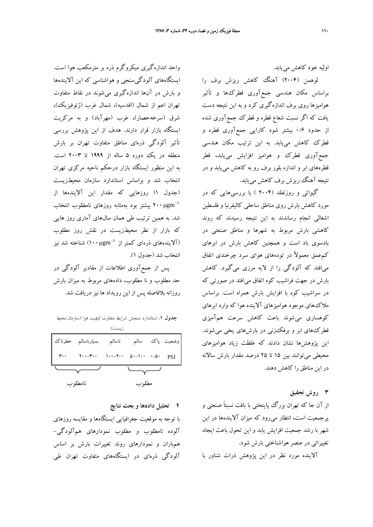اوليه خود كاهش مييابد.

لوهمن (2004) آهنگ كاهش ريزش برف را براساس مكان هندسي جمعآوري قطركها و تأثير هواميزها روي برف اندازهگيري كرد و به اين نتيجه دست يافت كه اگر نسبت شعاع قطره و قطرك جمعآوري شده از حدود 0/6 بيشتر شود كارايي جمعآوري قطره و قطرك كاهش مييابد. به اين ترتيب مكان هندسي جمعآوري قطرك و هواميز افزايش مييابد، قطر قطرههاي ابر و اندازه بلور برف رو به كاهش مييابد و در نتيجه آهنگ ريزش برف كاهش مييابد.

گيواتي و روزنفلد (2004 ) با بررسيهايي كه در مورد كاهش بارش روي مناطق ساحلي كاليفرنيا و فلسطين اشغالي انجام رساندند به اين نتيجه رسيدند كه روند كاهشي بارش مربوط به شهرها و مناطق صنعتي در بادسوي باد است و همچنين كاهش بارش در ابرهاي كمعمق معمولاً در تودههاي هواي سرد چرخندي اتفاق ميافتد كه آلودگي را از لايه مرزي ميگيرد. كاهش بارش در جهت فراشيب كوه اتفاق ميافتد در صورتي كه در سراشيب كوه با افزايش بارش همراه است. براساس ملاكهاي موجود هواميزهاي آلاينده هوا كه وارد ابرهاي كوهساري ميشوند باعث كاهش سرعت همآميزي قطركهاي ابر و برفكزني در بارشهاي يخي ميشوند. اين پژوهشها نشان دادند كه غلظت زياد هواميزهاي محيطي ميتوانند بين 15 تا 25 درصد مقدار بارش سالانه در اين مناطق را كاهش دهند.

**3 روش تحقيق**

از آن جا كه تهران بزرگ پايتختي با بافت نسبتاً صنعتي و پرجمعيت است، انتظار ميرود كه ميزان آلايندهها در اين شهر با رشد جمعيت افزايش يابد و اين تحول باعث ايجاد تغييراتي در عنصرهواشناختي بارش شود.

آلاينده مورد نظر در اين پژوهش ذرات شناور با

واحد اندازهگيري ميكروگرم ذره بر مترمكعب هوا است. ايستگاههاي آلودگيسنجي و هواشناسي كه اين آلايندهها و بارش در آنها اندازهگيري ميشوند در نقاط متفاوت تهران اعم از شمال (اقدسيه)، شمال غرب (ژئوفيزيك)، شرق (سرخهحصار)، غرب (مهرآباد) و به مركزيت ايستگاه بازار قرار دارند. هدف از اين پژوهش بررسي تأثير آلودگي ذرهاي مناطق متفاوت تهران بر بارش منطقه در يك دوره 5 ساله از 1999 تا 2003 است. به اين منظور ايستگاه بازار درحكم ناحيه مركزي تهران انتخاب شد و براساس استاندارد سازمان محيطزيست (جدول 1) روزهايي كه مقدار اين آلايندهها از μ 200 بيشتر بود بهمثابه روزهاي نامطلوب انتخاب <sup>−</sup>gm <sup>3</sup> شد. به همين ترتيب طي همان سالهاي آماري روز هايي كه بازار از نظر محيطزيست در نقش روز مطلوب الايندههاي ذرهاي كمتر از −100 (۱۰۰µgm) آلايندههاي ذرهاي كمتر از انتخاب شد (جدول 1).

پس از جمعآوري اطلاعات از مقادير آلودگي در حد مطلوب و نا مطلوب، دادههاي مربوط به ميزان بارش روزانه بلافاصله پس از اين رويداد ها نيزدريافت شد.

**جدول .1** استاندارد سنجش شرايط متفاوت كيفيت هوا (سازمان محيط زيست).

|         | وضعیت پاک سالم ناسالم بسیارناسالم خطرناک                                                                                                                                                                                                                                                                                                                                                                                                                                   |       |  |  |  |
|---------|----------------------------------------------------------------------------------------------------------------------------------------------------------------------------------------------------------------------------------------------------------------------------------------------------------------------------------------------------------------------------------------------------------------------------------------------------------------------------|-------|--|--|--|
|         | $\mathbf{r} \cdot \mathbf{r}$ $\mathbf{r} \cdot \mathbf{r} \cdot \mathbf{r} \cdot \mathbf{r}$ $\mathbf{r} \cdot \mathbf{r} \cdot \mathbf{r} \cdot \mathbf{r} \cdot \mathbf{r} \cdot \mathbf{r} \cdot \mathbf{r} \cdot \mathbf{r} \cdot \mathbf{r} \cdot \mathbf{r} \cdot \mathbf{r} \cdot \mathbf{r} \cdot \mathbf{r} \cdot \mathbf{r} \cdot \mathbf{r} \cdot \mathbf{r} \cdot \mathbf{r} \cdot \mathbf{r} \cdot \mathbf{r} \cdot \mathbf{r} \cdot \mathbf{r} \cdot \math$ |       |  |  |  |
|         |                                                                                                                                                                                                                                                                                                                                                                                                                                                                            |       |  |  |  |
| نامطلوب |                                                                                                                                                                                                                                                                                                                                                                                                                                                                            | مطلوب |  |  |  |

**4 تحليل دادهها و بحث نتايج**

با توجه به موقعيت جغرافيايي ايستگاهها و مقايسه روزهاي آلوده نامطلوب و مطلوب نمودارهاي همآلودگي- همباران و نمودارهاي روند تغييرات بارش بر اساس آلودگي ذرهاي در ايستگاههاي متفاوت تهران طي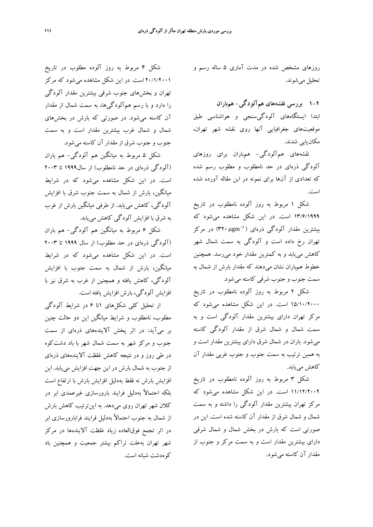روزهاي مشخص شده در مدت آماري 5 ساله رسم و تحليل ميشوند.

**1-4 بررسي نقشههاي همآلودگي- همباران** ابتدا ايستگاههاي آلودگيسنجي و هواشناسي طبق موقعيتهاي جغرافيايي آنها روي نقشه شهر تهران، مكانيابي شدند.

نقشههاي همآلودگي- همباران براي روزهاي آلودگي ذرهاي در حد نامطلوب و مطلوب رسم شده كه تعدادي از آنها براي نمونه در اين مقاله آورده شده است.

شكل 1 مربوط به روز آلوده نامطلوب در تاريخ 13/6/1999 است. در اين شكل مشاهده ميشود كه بيشترين مقدار آلودگي ذرهاي (3′γ۲۰ µgm) در مركز تهران رخ داده است و آلودگي به سمت شمال شهر كاهش مييابد و به كمترين مقدار خود ميرسد. همچنين خطوط همباران نشان ميدهند كه مقدار بارش از شمال به سمت جنوب و جنوب شرقي كاسته ميشود.

شكل 2 مربوط به روز آلوده نامطلوب در تاريخ 15/10/2000 است. در اين شكل مشاهده ميشود كه مركز تهران داراي بيشترين مقدار آلودگي است و به سمت شمال و شمال شرق از مقدار آلودگي كاسته ميشود. باران در شمال شرق داراي بيشترين مقدار است و به همين ترتيب به سمت جنوب و جنوب غربي مقدار آن كاهش مييابد.

شكل 3 مربوط به روز آلوده نامطلوب در تاريخ 11/12/2002 است. در اين شكل مشاهده ميشود كه مركز تهران بيشترين مقدار آلودگي را داشته و به سمت شمال و شمال شرق از مقدار آن كاسته شده است. اين در صورتي است كه بارش در بخش شمال و شمال شرقي داراي بيشترين مقدار است و به سمت مركز و جنوب از مقدار آن كاسته ميشود.

شكل 4 مربوط به روز آلوده مطلوب در تاريخ 20/1/2001 است. در اين شكل مشاهده ميشود كه مركز تهران و بخشهاي جنوب شرقي بيشترين مقدار آلودگي را دارد و با رسم همآلودگيها، به سمت شمال از مقدار آن كاسته ميشود. در صورتي كه بارش در بخشهاي شمال و شمال غرب بيشترين مقدار است و به سمت جنوب و جنوب شرق از مقدار آن كاسته ميشود.

شكل 5 مربوط به ميانگين هم آلودگي- هم باران (آلودگي ذرهاي در حد نامطلوب) از سال1999 تا 2003 است. در اين شكل مشاهده ميشود كه در شرايط ميانگين، بارش از شمال به سمت جنوب شرق با افزايش آلودگي، كاهش مييابد. از طرفي ميانگين بارش از غرب به شرق با افزايش آلودگي كاهش مييابد.

شكل 6 مربوط به ميانگين هم آلودگي- هم باران (آلودگي ذرهاي در حد مطلوب) از سال 1999 تا 2003 است. در اين شكل مشاهده ميشود كه در شرايط ميانگين، بارش از شمال به سمت جنوب با افزايش آلودگي، كاهش يافته و همچنين از غرب به شرق نيز با افزايش آلودگي، بارش افزايش يافته است.

از تحليل كلي شكلهاي 1تا 6 در شرايط آلودگي مطلوب، نامطلوب و شرايط ميانگين اين دو حالت چنين بر ميآيد: در اثر پخش آلايندههاي ذرهاي از سمت جنوب و مركز شهر به سمت شمال شهر با باد دشتكوه در طي روز و در نتيجه كاهش غلظت آلايندههاي ذرهاي از جنوب به شمال بارش در اين جهت افزايش مييابد. اين افزايش بارش نه فقط بهدليل افزايش بارش با ارتفاع است بلكه احتمالاً بهدليل فرايند بارورسازي غيرعمدي ابر در كلان شهر تهران روي ميدهد. به اينترتيب كاهش بارش از شمال به جنوب احتمالاً بهدليل فرايند فرابارورسازي ابر در اثر تجمع فوقالعاده زياد غلظت آلايندهها در مركز شهر تهران بهعلت تراكم بيشتر جمعيت و همچنين باد كوهدشت شبانه است.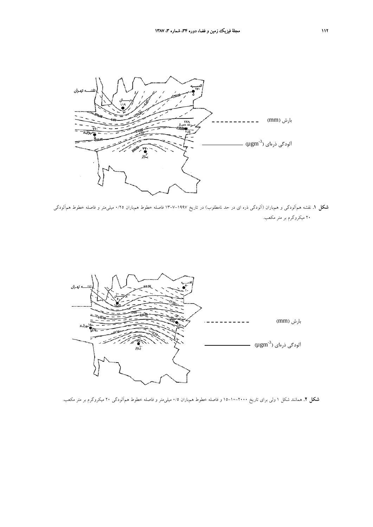

**شكل .1** نقشه همآلودگي و همباران (آلودگي ذره اي در حد نامطلوب) در تاريخ 13-7-1997 فاصله خطوط همباران 0/25 ميليمتر و فاصله خطوط همآلودگي 20 ميكروگرم بر متر مكعب.



**شكل .2** همانند شكل 1 ولي براي تاريخ 15-10-2000 و فاصله خطوط همباران 0/5 ميليمتر و فاصله خطوط همآلودگي 20 ميكروگرم بر متر مكعب.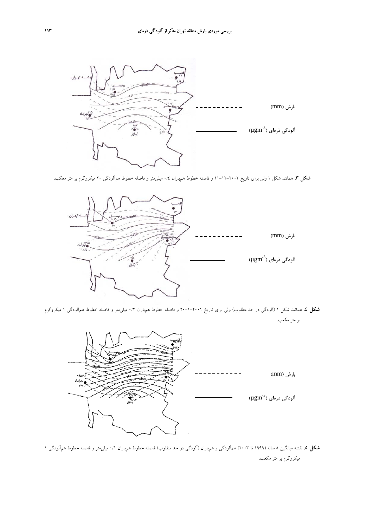

**شكل .3** همانند شكل 1 ولي براي تاريخ 11-12-2002 و فاصله خطوط همباران 0/4 ميليمتر و فاصله خطوط همآلودگي 20 ميكروگرم بر متر معكب.



**شكل .4** همانند شكل 1 (آلودگي در حد مطلوب) ولي براي تاريخ 20-1-2001 و فاصله خطوط همباران 0/2 ميليمتر و فاصله خطوط همآلودگي 1 ميكروگرم بر متر مكعب.



**شكل .5** نقشه ميانگين 5 ساله (1999 تا 2003) همآلودگي و همباران (آلودگي در حد مطلوب) فاصله خطوط همباران 0/1 ميليمتر و فاصله خطوط همآلودگي 1 ميكروگرم بر متر مكعب.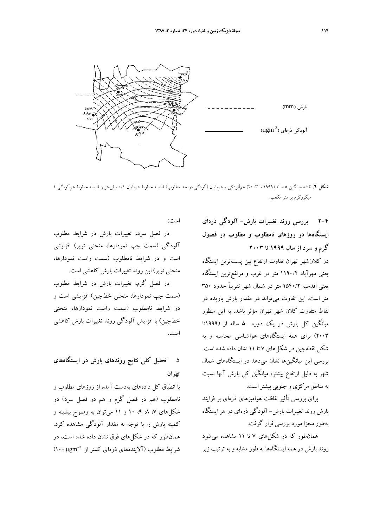

**شكل .6** نقشه ميانگين 5 ساله (1999 تا 2003) همآلودگي و همباران (آلودگي در حد مطلوب) فاصله خطوط همباران 0/1 ميليمتر و فاصله خطوط همآلودگي 1 ميكروگرم بر متر مكعب.

**2-4 بررسي روند تغييرات بارش- آلودگي ذرهاي ايستگاهها در روزهاي نامطلوب و مطلوب در فصول گرم و سرد از سال 1999 تا 2003** در كلانشهر تهران تفاوت ارتفاع بين پستترين ايستگاه يعني مهرآباد 1190/2 متر در غرب و مرتفعترين ايستگاه يعني اقدسيه 1540/2 متر در شمال شهر تقريباً حدود 350 متر است. اين تفاوت ميتواند در مقدار بارش باريده در نقاط متفاوت كلان شهر تهران مؤثر باشد. به اين منظور ميانگين كل بارش در يك دوره 5 ساله از (1999تا 2003) براي همة ايستگاههاي هواشناسي محاسبه و به شكل نقطهچين در شكلهاي 7 تا 11 نشان داده شده است.

بررسي اين ميانگينها نشان ميدهد در ايستگاههاي شمال شهر به دليل ارتفاع بيشتر، ميانگين كل بارش آنها نسبت به مناطق مركزي و جنوبي بيشتراست.

براي بررسي تأثير غلظت هواميزهاي ذرهاي بر فرايند بارش روند تغييرات بارش- آلودگي ذرهاي در هر ايستگاه بهطور مجزا مورد بررسي قرار گرفت.

همانطور كه در شكلهاي 7 تا 11 مشاهده ميشود روند بارش در همه ايستگاهها به طور مشابه و به ترتيب زير

است:

در فصل سرد، تغييرات بارش در شرايط مطلوب آلودگي (سمت چپ نمودارها، منحني توپر) افزايشي است و در شرايط نامطلوب (سمت راست نمودارها، منحني توپر) اين روند تغييرات بارش كاهشي است.

در فصل گرم، تغييرات بارش در شرايط مطلوب (سمت چپ نمودارها، منحني خطچين) افزايشي است و در شرايط نامطلوب (سمت راست نمودارها، منحني خطچين) با افزايش آلودگي روند تغييرات بارش كاهشي است.

## **5 تحليل كلي نتايج روندهاي بارش در ايستگاههاي تهران**

با انطباق كل دادههاي بهدست آمده از روزهاي مطلوب و نامطلوب (هم در فصل گرم و هم در فصل سرد) در شكلهاي ،7 ،8 ،9 10 و 11 ميتوان به وضوح بيشينه و كمينه بارش را با توجه به مقدار آلودگي مشاهده كرد. همانطور كه در شكلهاي فوق نشان داده شده است، در μ 100 (<sup>−</sup>gm <sup>3</sup> شرايط مطلوب (آلايندههاي ذرهاي كمتر از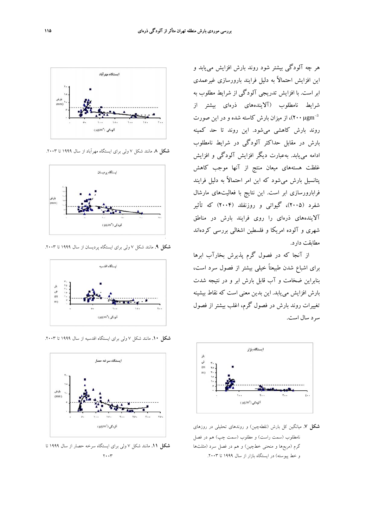

**شكل .8** مانند شكل 7 ولي براي ايستگاه مهرآباد از سال 1999 تا .2003



**شكل .9** مانند شكل 7 ولي براي ايستگاه پرديسان از سال 1999 تا .2003



**شكل .10** مانند شكل 7 ولي براي ايستگاه اقدسيه از سال 1999 تا .2003



**شكل .11** مانند شكل 7 ولي براي ايستگاه سرخه حصار از سال 1999 تا  $\mathbf{y} \cdot \cdot \mathbf{y}$ 

هر چه آلودگي بيشتر شود روند بارش افزايش مييابد و اين افزايش احتمالاً به دليل فرايند بارورسازي غيرعمدي ابر است. با افزايش تدريجي آلودگي از شرايط مطلوب به شرايط نامطلوب (آلايندههاي ذرهاي بيشتر از از ميزان بارش كاسته شده و در اين صورت (۲۰۰ $\mu {\rm gm}^{-3}$ روند بارش كاهشي ميشود. اين روند تا حد كمينه بارش در مقابل حداكثر آلودگي در شرايط نامطلوب ادامه مييابد. بهعبارت ديگر افزايش آلودگي و افزايش غلظت هستههاي ميعان منتج از آنها موجب كاهش پتانسيل بارش ميشود كه اين امر احتمالاً به دليل فرايند فرابارورسازي ابر است. اين نتايج با فعاليتهاي مارشال شفرد (2005)، گيواتي و روزنفلد (2004) كه تأثير آلايندههاي ذرهاي را روي فرايند بارش در مناطق شهري و آلوده امريكا و فلسطين اشغالي بررسي كردهاند مطابقت دارد.

از آنجا كه در فصول گرم پذيرش بخارآب ابرها براي اشباع شدن طبيعتاً خيلي بيشتر از فصول سرد است، بنابراين ضخامت و آب قابل بارش ابر و در نتيجه شدت بارش افزايش مييابد. اين بدين معني است كه نقاط بيشينه تغييرات روند بارش در فصول گرم، اغلب بيشتر از فصول سرد سال است.



**شكل .7** ميانگين كل بارش (نقطهچين) و روندهاي تحليلي در روزهاي نامطلوب (سمت راست) و مطلوب (سمت چپ) هم در فصل گرم (مربعها و منحني خطچين) و هم در فصل سرد (مثلثها و خط پيوسته) در ايستگاه بازار از سال 1999 تا .2003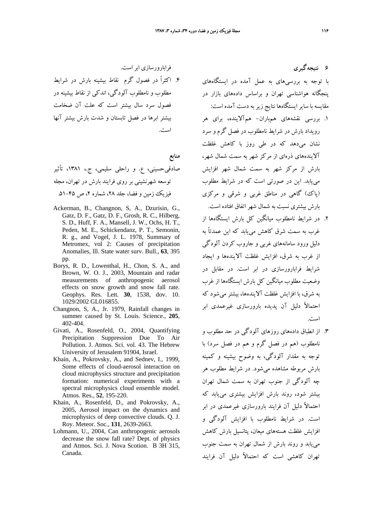فرابارورسازي ابر است.

.4 اكثراً در فصول گرم نقاط بيشينه بارش در شرايط مطلوب و نامطلوب آلودگي، اندكي از نقاط بيشينه در فصول سرد سال بيشتر است كه علت آن ضخامت بيشتر ابرها در فصل تابستان و شدت بارش بيشتر آنها است.

**منابع**

- صادقيحسيني، ع. و راحلي سليمي، ج،. ،1381 تأثير توسعه شهرنشيني بر روي فرايند بارش در تهران، مجله فيزيك زمين و فضا، جلد ٢٨، شماره ٢، ص ٤٥-٥١.
- Ackerman, B., Changnon, S, A., Dzurisin, G., Gatz, D. F., Gatz, D. F., Grosh, R. C., Hilberg, S. D., Huff, F. A., Mansell, J. W., Ochs, H. T., Peden, M. E., Schickendanz, P. T., Semonin, R. g., and Vogel, J. L. 1978, Summary of Metromex, vol 2: Causes of precipitation Anomalies, lll. State water surv. Bull., **63**, 395 pp.
- Borys, R. D., Lowenthal, H., Chon, S. A., and Brown, W. O. J., 2003, Mountain and radar measurements of anthropogenic aerosol effects on snow growth and snow fall rate. Geophys. Res. Lett. **30**, 1538, dov. 10. 1029/2002 GL016855.
- Changnon, S, A., Jr. 1979, Rainfall changes in summer caused by St. Louis. Science., **205**, 402-404.
- Givati, A., Rosenfeld, O., 2004, Quantifying Precipitation Suppression Due To Air Pollution. J. Atmos. Sci. vol. 43. The Hebrew University of Jerusalem 91904, Israel.
- Khain, A., Pokrovsky, A., and Sednev, I., 1999, Some effects of cloud-aerosol interaction on cloud microphysics structure and precipitation formation: numerical experiments with a spectral microphysics cloud ensemble model. Atmos. Res., **52**, 195-220.
- Khain, A., Rosenfeld, D., and Pokrovsky, A., 2005, Aerosol impact on the dynamics and microphysics of deep convective clouds. Q. J. Roy. Meteor. Soc., **131**, 2639-2663.
- Lohmann, U., 2004, Can anthropogenic aerosols decrease the snow fall rate? Dept. of physics and Atmos. Sci. J. Nova Scotion. B 3H 315, Canada.

**6 نتيجهگيري** با توجه به بررسيهاي به عمل آمده در ايستگاههاي پنجگانه هواشناسي تهران و براساس دادههاي بازار در مقايسه با سايرايستگاهها نتايج زير به دست آمده است:

- .1 بررسي نقشههاي همباران- همآلاينده، براي هر رويداد بارش در شرايط نامطلوب در فصل گرم و سرد نشان ميدهد كه در طي روز با كاهش غلظت آلايندههاي ذرهاي از مركز شهر به سمت شمال شهر، بارش از مركز شهر به سمت شمال شهر افزايش مييابد. اين در صورتي است كه در شرايط مطلوب (پاك) گاهي در مناطق غربي و شرقي و مركزي بارش بيشتري نسبت به شمال شهر اتفاق افتاده است.
- .2 در شرايط نامطلوب ميانگين كل بارش ايستگاهها از غرب به سمت شرق كاهش مييابد كه اين عمدتاً به دليل ورود سامانههاي غربي و جاروب كردن آلودگي از غرب به شرق، افزايش غلظت آلايندهها و ايجاد شرايط فرابارورسازي در ابر است. در مقابل در وضعيت مطلوب ميانگين كل بارش ايستگاهها از غرب به شرق، با افزايش غلظت آلايندهها، بيشتر ميشود كه احتمالاً دليل آن پديده بارورسازي غيرعمدي ابر است.
- .3 از انطباق دادههاي روزهاي آلودگي در حد مطلوب و نامطلوب (هم در فصل گرم و هم در فصل سرد) با توجه به مقدار آلودگي، به وضوح بيشينه و كمينه بارش مربوطه مشاهده ميشود. در شرايط مطلوب هر چه آلودگي از جنوب تهران به سمت شمال تهران بيشتر شود، روند بارش افزايش بيشتري مييابد كه احتمالاً دليل آن فرايند بارورسازي غيرعمدي در ابر است. در شرايط نامطلوب با افزايش آلودگي و افزايش غلظت هستههاي ميعان، پتانسيل بارش كاهش مييابد و روند بارش از شمال تهران به سمت جنوب تهران كاهشي است كه احتمالاً دليل آن فرايند